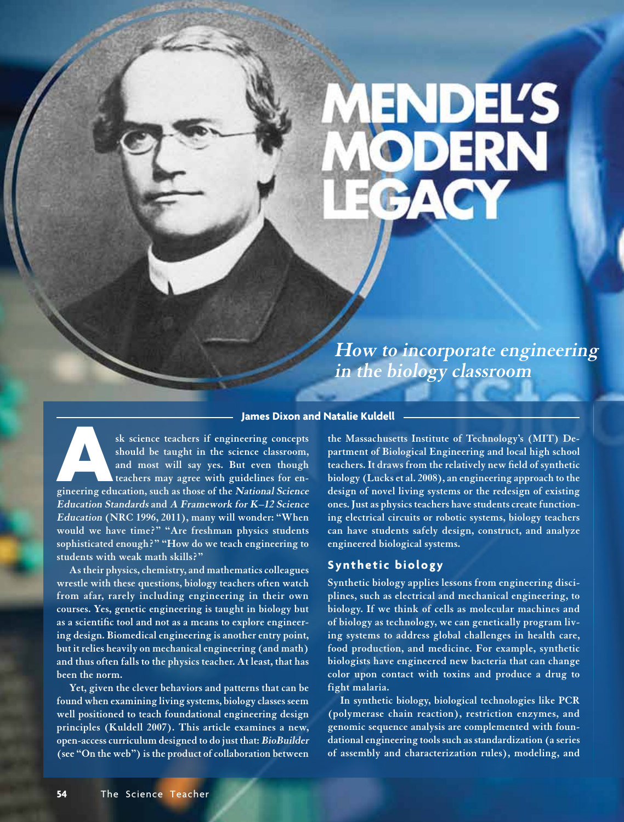# ENDEL'S<br>ODERN

**How to incorporate engineering in the biology classroom**

#### **James Dixon and Natalie Kuldell**

**Exercise Science teachers if engineering concepts** should be taught in the science classroom, and most will say yes. But even though teachers may agree with guidelines for engineering education, such as those of the *Nati* **should be taught in the science classroom, and most will say yes. But even though teachers may agree with guidelines for en-Education Standards and A Framework for K–12 Science Education (NRC 1996, 2011), many will wonder: "When would we have time?" "Are freshman physics students sophisticated enough?" "How do we teach engineering to students with weak math skills?"** 

**As their physics, chemistry, and mathematics colleagues wrestle with these questions, biology teachers often watch from afar, rarely including engineering in their own courses. Yes, genetic engineering is taught in biology but as a scientific tool and not as a means to explore engineering design. Biomedical engineering is another entry point, but it relies heavily on mechanical engineering (and math) and thus often falls to the physics teacher. At least, that has been the norm.**

**Yet, given the clever behaviors and patterns that can be found when examining living systems, biology classes seem well positioned to teach foundational engineering design principles (Kuldell 2007). This article examines a new, open-access curriculum designed to do just that: BioBuilder (see "On the web") is the product of collaboration between** 

**the Massachusetts Institute of Technology's (MIT) Department of Biological Engineering and local high school teachers. It draws from the relatively new field of synthetic biology (Lucks et al. 2008), an engineering approach to the design of novel living systems or the redesign of existing ones. Just as physics teachers have students create functioning electrical circuits or robotic systems, biology teachers can have students safely design, construct, and analyze engineered biological systems.** 

# **Synthetic biology**

**Synthetic biology applies lessons from engineering disciplines, such as electrical and mechanical engineering, to biology. If we think of cells as molecular machines and of biology as technology, we can genetically program living systems to address global challenges in health care, food production, and medicine. For example, synthetic biologists have engineered new bacteria that can change color upon contact with toxins and produce a drug to fight malaria.**

**In synthetic biology, biological technologies like PCR (polymerase chain reaction), restriction enzymes, and genomic sequence analysis are complemented with foundational engineering tools such as standardization (a series of assembly and characterization rules), modeling, and**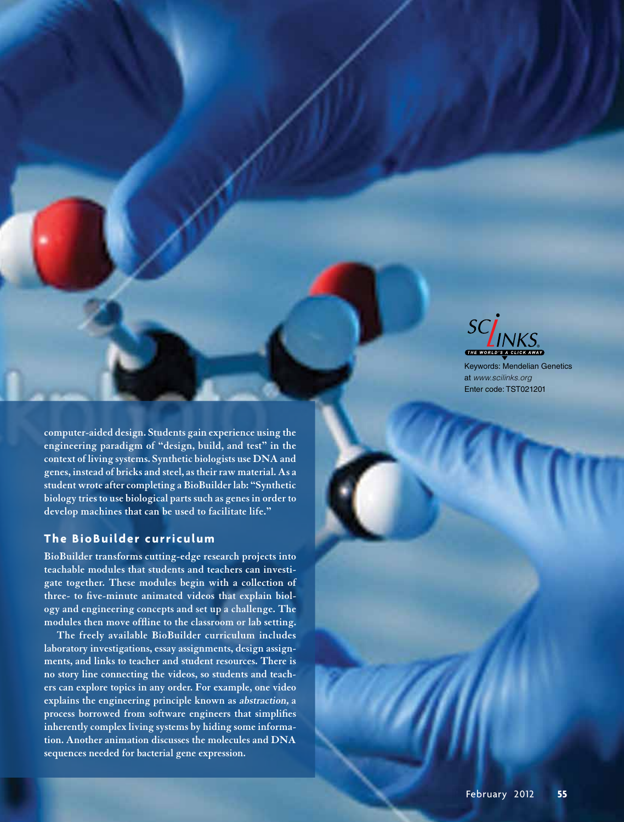

Keywords: Mendelian Genetics at *www.scilinks.org* Enter code: TST021201

**computer-aided design. Students gain experience using the engineering paradigm of "design, build, and test" in the context of living systems. Synthetic biologists use DNA and genes, instead of bricks and steel, as their raw material. As a student wrote after completing a BioBuilder lab: "Synthetic biology tries to use biological parts such as genes in order to develop machines that can be used to facilitate life."**

# **The BioBuilder curriculum**

**BioBuilder transforms cutting-edge research projects into teachable modules that students and teachers can investigate together. These modules begin with a collection of three- to five-minute animated videos that explain biology and engineering concepts and set up a challenge. The modules then move offline to the classroom or lab setting.** 

**The freely available BioBuilder curriculum includes laboratory investigations, essay assignments, design assignments, and links to teacher and student resources. There is no story line connecting the videos, so students and teachers can explore topics in any order. For example, one video explains the engineering principle known as abstraction, a process borrowed from software engineers that simplifies inherently complex living systems by hiding some information. Another animation discusses the molecules and DNA sequences needed for bacterial gene expression.**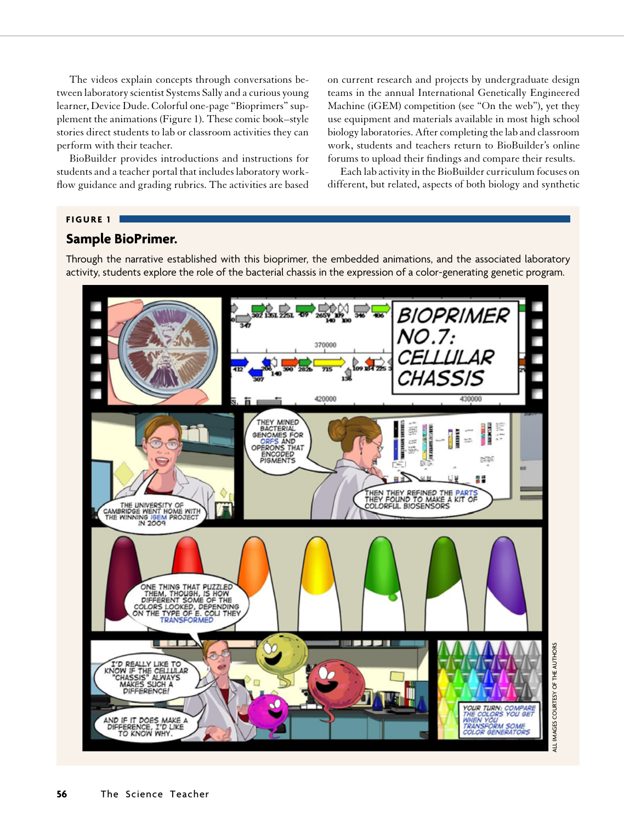The videos explain concepts through conversations between laboratory scientist Systems Sally and a curious young learner, Device Dude. Colorful one-page "Bioprimers" supplement the animations (Figure 1). These comic book–style stories direct students to lab or classroom activities they can perform with their teacher.

BioBuilder provides introductions and instructions for students and a teacher portal that includes laboratory workflow guidance and grading rubrics. The activities are based

on current research and projects by undergraduate design teams in the annual International Genetically Engineered Machine (iGEM) competition (see "On the web"), yet they use equipment and materials available in most high school biology laboratories. After completing the lab and classroom work, students and teachers return to BioBuilder's online forums to upload their findings and compare their results.

Each lab activity in the BioBuilder curriculum focuses on different, but related, aspects of both biology and synthetic

#### **FIGURE 1**

# **Sample BioPrimer.**

Through the narrative established with this bioprimer, the embedded animations, and the associated laboratory activity, students explore the role of the bacterial chassis in the expression of a color-generating genetic program.

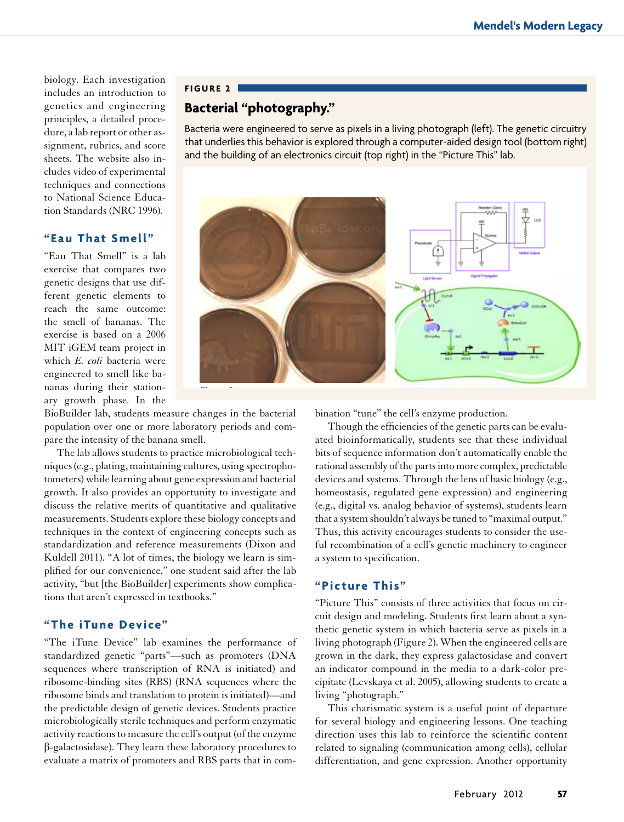biology. Each investigation includes an introduction to genetics and engineering principles, a detailed procedure, a lab report or other assignment, rubrics, and score sheets. The website also includes video of experimental techniques and connections to National Science Education Standards (NRC 1996).

# **"Eau That Smell"**

"Eau That Smell" is a lab exercise that compares two genetic designs that use different genetic elements to reach the same outcome: the smell of bananas. The exercise is based on a 2006 MIT iGEM team project in which *E. coli* bacteria were engineered to smell like bananas during their stationary growth phase. In the

#### **Figure 2**

# **Bacterial "photography."**

Bacteria were engineered to serve as pixels in a living photograph (left). The genetic circuitry that underlies this behavior is explored through a computer-aided design tool (bottom right) and the building of an electronics circuit (top right) in the "Picture This" lab.



BioBuilder lab, students measure changes in the bacterial population over one or more laboratory periods and compare the intensity of the banana smell.

The lab allows students to practice microbiological tech-hits of s niques (e.g., plating, maintaining cultures, using spectrophotometers) while learning about gene expression and bacterial growth. It also provides an opportunity to investigate and discuss the relative merits of quantitative and qualitative measurements. Students explore these biology concepts and techniques in the context of engineering concepts such as standardization and reference measurements (Dixon and Kuldell 2011). "A lot of times, the biology we learn is simplified for our convenience," one student said after the lab activity, "but [the BioBuilder] experiments show complications that aren't expressed in textbooks."

## **"The iTune Device"**

"The iTune Device" lab examines the performance of standardized genetic "parts"—such as promoters (DNA sequences where transcription of RNA is initiated) and ribosome-binding sites (RBS) (RNA sequences where the ribosome binds and translation to protein is initiated)—and the predictable design of genetic devices. Students practice microbiologically sterile techniques and perform enzymatic activity reactions to measure the cell's output (of the enzyme β-galactosidase). They learn these laboratory procedures to evaluate a matrix of promoters and RBS parts that in com-

anges in the bacterial whistron "tune" the cell's enzyme production.

tory periods and com- Though the efficiencies of the genetic parts can be evalul. The bioinformatically, students see that these individual bits of sequence information don't automatically enable the rational assembly of the parts into more complex, predictable devices and systems. Through the lens of basic biology (e.g., homeostasis, regulated gene expression) and engineering (e.g., digital vs. analog behavior of systems), students learn that a system shouldn't always be tuned to "maximal output." Thus, this activity encourages students to consider the useful recombination of a cell's genetic machinery to engineer a system to specification.

## **"Picture This"**

"Picture This" consists of three activities that focus on circuit design and modeling. Students first learn about a synthetic genetic system in which bacteria serve as pixels in a living photograph (Figure 2). When the engineered cells are grown in the dark, they express galactosidase and convert an indicator compound in the media to a dark-color precipitate (Levskaya et al. 2005), allowing students to create a living "photograph."

This charismatic system is a useful point of departure for several biology and engineering lessons. One teaching direction uses this lab to reinforce the scientific content related to signaling (communication among cells), cellular differentiation, and gene expression. Another opportunity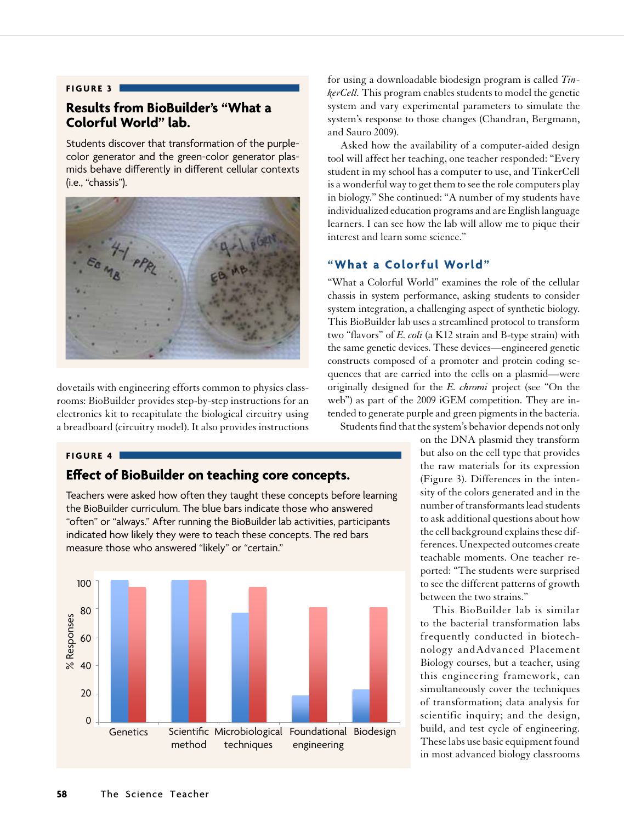#### **Figure 3**

# **Results from BioBuilder's "What a Colorful World" lab.**

Students discover that transformation of the purplecolor generator and the green-color generator plasmids behave differently in different cellular contexts (i.e., "chassis").



dovetails with engineering efforts common to physics classabordants what engineering errors common to physics easy rooms: BioBuilder provides step-by-step instructions for an rooms. BioBunder provides step-by-step instructions for an electronics kit to recapitulate the biological circuitry using a breadboard (circuitry model). It also provides instructions  $\alpha$  different contexts, i.e.  $\alpha$  is  $\alpha$ .

#### **Figure 4**

# **Effect of BioBuilder on teaching core concepts.**

Teachers were asked how often they taught these concepts before learning the BioBuilder curriculum. The blue bars indicate those who answered "often" or "always." After running the BioBuilder lab activities, participants indicated how likely they were to teach these concepts. The red bars measure those who answered "likely" or "certain."



for using a downloadable biodesign program is called *TinkerCell.* This program enables students to model the genetic system and vary experimental parameters to simulate the system's response to those changes (Chandran, Bergmann, and Sauro 2009).

Asked how the availability of a computer-aided design tool will affect her teaching, one teacher responded: "Every student in my school has a computer to use, and TinkerCell is a wonderful way to get them to see the role computers play in biology." She continued: "A number of my students have individualized education programs and are English language learners. I can see how the lab will allow me to pique their interest and learn some science."

# **"What a Colorful World"**

"What a Colorful World" examines the role of the cellular chassis in system performance, asking students to consider system integration, a challenging aspect of synthetic biology. This BioBuilder lab uses a streamlined protocol to transform two "flavors" of *E. coli* (a K12 strain and B-type strain) with the same genetic devices. These devices—engineered genetic constructs composed of a promoter and protein coding sequences that are carried into the cells on a plasmid—were originally designed for the *E. chromi* project (see "On the web") as part of the 2009 iGEM competition. They are intended to generate purple and green pigments in the bacteria. Students find that the system's behavior depends not only

> on the DNA plasmid they transform but also on the cell type that provides the raw materials for its expression (Figure 3). Differences in the intensity of the colors generated and in the number of transformants lead students to ask additional questions about how the cell background explains these differences. Unexpected outcomes create teachable moments. One teacher reported: "The students were surprised to see the different patterns of growth between the two strains."

> This BioBuilder lab is similar to the bacterial transformation labs frequently conducted in biotechnology andAdvanced Placement Biology courses, but a teacher, using this engineering framework, can simultaneously cover the techniques of transformation; data analysis for scientific inquiry; and the design, build, and test cycle of engineering. These labs use basic equipment found in most advanced biology classrooms